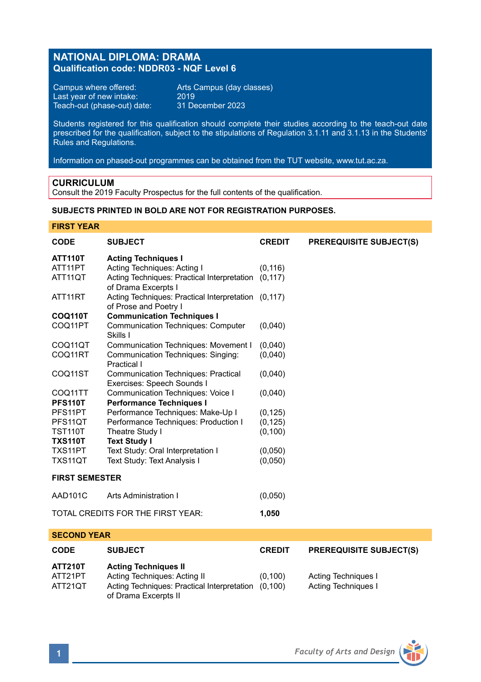# **NATIONAL DIPLOMA: DRAMA Qualification code: NDDR03 - NQF Level 6**

Campus where offered: Arts Campus (day classes)<br>Last year of new intake: 2019 Last year of new intake: 2019 Teach-out (phase-out) date: 31 December 2023

Students registered for this qualification should complete their studies according to the teach-out date prescribed for the qualification, subject to the stipulations of Regulation 3.1.11 and 3.1.13 in the Students' Rules and Regulations.

Information on phased-out programmes can be obtained from the TUT website, www.tut.ac.za.

### **CURRICULUM**

Consult the 2019 Faculty Prospectus for the full contents of the qualification.

## **SUBJECTS PRINTED IN BOLD ARE NOT FOR REGISTRATION PURPOSES.**

### **FIRST YEAR**

| CODE                                       | <b>SUBJECT</b>                                                               | <b>CREDIT</b> | <b>PREREQUISITE SUBJECT(S)</b> |
|--------------------------------------------|------------------------------------------------------------------------------|---------------|--------------------------------|
| <b>ATT110T</b>                             | <b>Acting Techniques I</b>                                                   |               |                                |
| ATT11PT                                    | Acting Techniques: Acting I                                                  | (0, 116)      |                                |
| ATT11QT                                    | Acting Techniques: Practical Interpretation (0,117)<br>of Drama Excerpts I   |               |                                |
| ATT11RT                                    | Acting Techniques: Practical Interpretation (0,117)<br>of Prose and Poetry I |               |                                |
| <b>COO110T</b>                             | <b>Communication Techniques I</b>                                            |               |                                |
| COQ11PT                                    | <b>Communication Techniques: Computer</b><br>Skills I                        | (0,040)       |                                |
| COQ11QT                                    | Communication Techniques: Movement I                                         | (0,040)       |                                |
| COQ11RT                                    | Communication Techniques: Singing:<br>Practical I                            | (0,040)       |                                |
| COQ11ST                                    | <b>Communication Techniques: Practical</b><br>Exercises: Speech Sounds I     | (0,040)       |                                |
| COQ11TT                                    | Communication Techniques: Voice I                                            | (0,040)       |                                |
| PFS110T                                    | <b>Performance Techniques I</b>                                              |               |                                |
| PFS11PT                                    | Performance Techniques: Make-Up I                                            | (0, 125)      |                                |
| PFS11QT                                    | Performance Techniques: Production I                                         | (0, 125)      |                                |
| <b>TST110T</b>                             | Theatre Study I                                                              | (0, 100)      |                                |
| <b>TXS110T</b>                             | <b>Text Study I</b>                                                          |               |                                |
| TXS11PT                                    | Text Study: Oral Interpretation I                                            | (0,050)       |                                |
| TXS11QT                                    | Text Study: Text Analysis I                                                  | (0,050)       |                                |
| <b>FIRST SEMESTER</b>                      |                                                                              |               |                                |
| AAD101C                                    | Arts Administration I                                                        | (0,050)       |                                |
| TOTAL CREDITS FOR THE FIRST YEAR:<br>1,050 |                                                                              |               |                                |
| <b>SECOND YEAR</b>                         |                                                                              |               |                                |

| <b>CODE</b>                          | <b>SUBJECT</b>                                                                                                                     | <b>CREDIT</b>      | <b>PREREQUISITE SUBJECT(S)</b>                    |
|--------------------------------------|------------------------------------------------------------------------------------------------------------------------------------|--------------------|---------------------------------------------------|
| <b>ATT210T</b><br>ATT21PT<br>ATT21QT | <b>Acting Techniques II</b><br>Acting Techniques: Acting II<br>Acting Techniques: Practical Interpretation<br>of Drama Excerpts II | (0.100)<br>(0.100) | <b>Acting Techniques I</b><br>Acting Techniques I |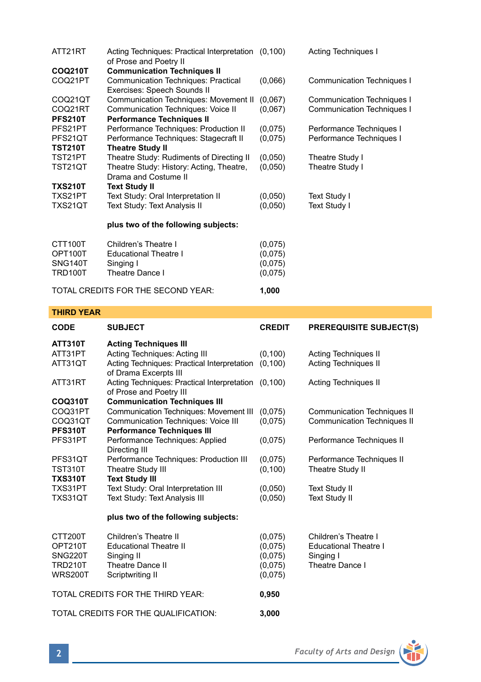| ATT21RT        | Acting Techniques: Practical Interpretation (0,100)<br>of Prose and Poetry II |         | <b>Acting Techniques I</b> |
|----------------|-------------------------------------------------------------------------------|---------|----------------------------|
| <b>COQ210T</b> | <b>Communication Techniques II</b>                                            |         |                            |
| COQ21PT        | Communication Techniques: Practical                                           | (0,066) | Communication Techniques I |
|                | Exercises: Speech Sounds II                                                   |         |                            |
| COQ21QT        | Communication Techniques: Movement II                                         | (0,067) | Communication Techniques I |
| COQ21RT        | Communication Techniques: Voice II                                            | (0,067) | Communication Techniques I |
| <b>PFS210T</b> | <b>Performance Techniques II</b>                                              |         |                            |
| PFS21PT        | Performance Techniques: Production II                                         | (0,075) | Performance Techniques I   |
| PFS21QT        | Performance Techniques: Stagecraft II                                         | (0,075) | Performance Techniques I   |
| <b>TST210T</b> | <b>Theatre Study II</b>                                                       |         |                            |
| TST21PT        | Theatre Study: Rudiments of Directing II                                      | (0,050) | Theatre Study I            |
| TST21QT        | Theatre Study: History: Acting, Theatre,                                      | (0,050) | Theatre Study I            |
|                | Drama and Costume II                                                          |         |                            |
| <b>TXS210T</b> | <b>Text Study II</b>                                                          |         |                            |
| TXS21PT        | Text Study: Oral Interpretation II                                            | (0,050) | Text Study I               |
| TXS21QT        | Text Study: Text Analysis II                                                  | (0.050) | Text Study I               |
|                | plus two of the following subjects:                                           |         |                            |
| CTT100T        | Children's Theatre I                                                          | (0,075) |                            |
| OPT100T        | <b>Educational Theatre I</b>                                                  | (0,075) |                            |
| SNG140T        | Singing I                                                                     | (0,075) |                            |

| TRD100T | Theatre Dance I                    | (0,075) |
|---------|------------------------------------|---------|
|         | TOTAL CREDITS FOR THE SECOND YEAR: | 1.000   |

**THIRD YEAR**

| <b>CODE</b>                          | <b>SUBJECT</b>                                                                 | <b>CREDIT</b> | <b>PREREQUISITE SUBJECT(S)</b>     |
|--------------------------------------|--------------------------------------------------------------------------------|---------------|------------------------------------|
| <b>ATT310T</b>                       | <b>Acting Techniques III</b>                                                   |               |                                    |
| ATT31PT                              | Acting Techniques: Acting III                                                  | (0, 100)      | Acting Techniques II               |
| ATT31QT                              | Acting Techniques: Practical Interpretation<br>of Drama Excerpts III           | (0.100)       | <b>Acting Techniques II</b>        |
| ATT31RT                              | Acting Techniques: Practical Interpretation (0,100)<br>of Prose and Poetry III |               | Acting Techniques II               |
| <b>COQ310T</b>                       | <b>Communication Techniques III</b>                                            |               |                                    |
| COQ31PT                              | Communication Techniques: Movement III                                         | (0,075)       | <b>Communication Techniques II</b> |
| COQ31QT                              | Communication Techniques: Voice III                                            | (0,075)       | <b>Communication Techniques II</b> |
| <b>PFS310T</b>                       | <b>Performance Techniques III</b>                                              |               |                                    |
| PFS31PT                              | Performance Techniques: Applied<br>Directing III                               | (0,075)       | Performance Techniques II          |
| PFS31QT                              | Performance Techniques: Production III                                         | (0,075)       | Performance Techniques II          |
| <b>TST310T</b>                       | Theatre Study III                                                              | (0, 100)      | Theatre Study II                   |
| <b>TXS310T</b>                       | <b>Text Study III</b>                                                          |               |                                    |
| TXS31PT                              | Text Study: Oral Interpretation III                                            | (0,050)       | <b>Text Study II</b>               |
| TXS31QT                              | Text Study: Text Analysis III                                                  | (0.050)       | <b>Text Study II</b>               |
|                                      | plus two of the following subjects:                                            |               |                                    |
| CTT200T                              | Children's Theatre II                                                          | (0,075)       | Children's Theatre I               |
| OPT210T                              | <b>Educational Theatre II</b>                                                  | (0,075)       | <b>Educational Theatre I</b>       |
| <b>SNG220T</b>                       | Singing II                                                                     | (0.075)       | Singing I                          |
| <b>TRD210T</b>                       | Theatre Dance II                                                               | (0,075)       | Theatre Dance I                    |
| <b>WRS200T</b>                       | Scriptwriting II                                                               | (0,075)       |                                    |
| TOTAL CREDITS FOR THE THIRD YEAR:    |                                                                                | 0,950         |                                    |
| TOTAL CREDITS FOR THE QUALIFICATION: |                                                                                | 3,000         |                                    |

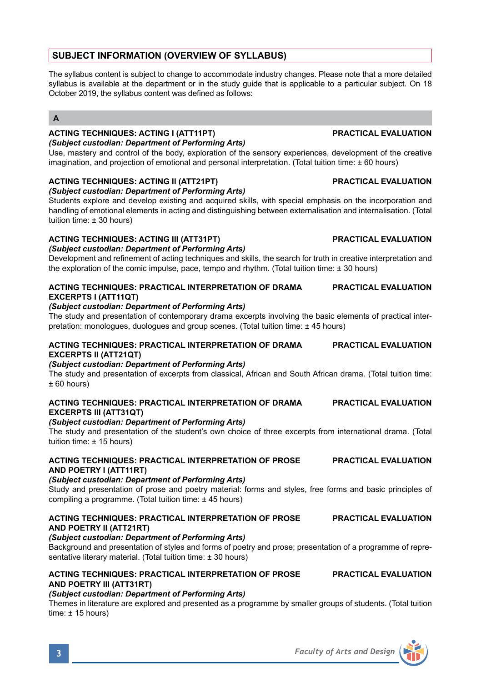# **SUBJECT INFORMATION (OVERVIEW OF SYLLABUS)**

The syllabus content is subject to change to accommodate industry changes. Please note that a more detailed syllabus is available at the department or in the study quide that is applicable to a particular subject. On 18 October 2019, the syllabus content was defined as follows:

## **A**

# **ACTING TECHNIQUES: ACTING I (ATT11PT) PRACTICAL EVALUATION**

*(Subject custodian: Department of Performing Arts)*

Use, mastery and control of the body, exploration of the sensory experiences, development of the creative imagination, and projection of emotional and personal interpretation. (Total tuition time: ± 60 hours)

## **ACTING TECHNIQUES: ACTING II (ATT21PT) PRACTICAL EVALUATION**

*(Subject custodian: Department of Performing Arts)*

Students explore and develop existing and acquired skills, with special emphasis on the incorporation and handling of emotional elements in acting and distinguishing between externalisation and internalisation. (Total tuition time: ± 30 hours)

## **ACTING TECHNIQUES: ACTING III (ATT31PT) PRACTICAL EVALUATION**

#### *(Subject custodian: Department of Performing Arts)*

Development and refinement of acting techniques and skills, the search for truth in creative interpretation and the exploration of the comic impulse, pace, tempo and rhythm. (Total tuition time: ± 30 hours)

### **ACTING TECHNIQUES: PRACTICAL INTERPRETATION OF DRAMA PRACTICAL EVALUATION EXCERPTS I (ATT11QT)**

## *(Subject custodian: Department of Performing Arts)*

The study and presentation of contemporary drama excerpts involving the basic elements of practical interpretation: monologues, duologues and group scenes. (Total tuition time: ± 45 hours)

## **ACTING TECHNIQUES: PRACTICAL INTERPRETATION OF DRAMA PRACTICAL EVALUATION EXCERPTS II (ATT21QT)**

### *(Subject custodian: Department of Performing Arts)*

The study and presentation of excerpts from classical, African and South African drama. (Total tuition time:  $± 60$  hours)

#### **ACTING TECHNIQUES: PRACTICAL INTERPRETATION OF DRAMA PRACTICAL EVALUATION EXCERPTS III (ATT31QT)**

### *(Subject custodian: Department of Performing Arts)*

The study and presentation of the student's own choice of three excerpts from international drama. (Total tuition time: ± 15 hours)

### **ACTING TECHNIQUES: PRACTICAL INTERPRETATION OF PROSE PRACTICAL EVALUATION AND POETRY I (ATT11RT)**

### *(Subject custodian: Department of Performing Arts)*

Study and presentation of prose and poetry material: forms and styles, free forms and basic principles of compiling a programme. (Total tuition time: ± 45 hours)

### **ACTING TECHNIQUES: PRACTICAL INTERPRETATION OF PROSE PRACTICAL EVALUATION AND POETRY II (ATT21RT)**

### *(Subject custodian: Department of Performing Arts)*

Background and presentation of styles and forms of poetry and prose; presentation of a programme of representative literary material. (Total tuition time: ± 30 hours)

### **ACTING TECHNIQUES: PRACTICAL INTERPRETATION OF PROSE PRACTICAL EVALUATION AND POETRY III (ATT31RT)**

### *(Subject custodian: Department of Performing Arts)*

Themes in literature are explored and presented as a programme by smaller groups of students. (Total tuition time: ± 15 hours)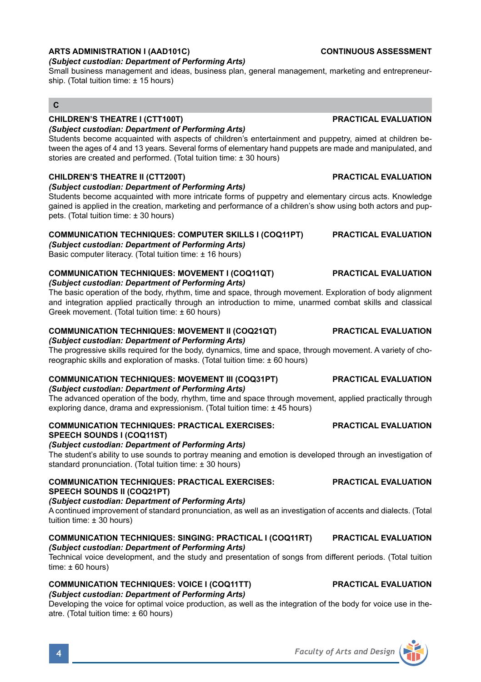# **ARTS ADMINISTRATION I (AAD101C) CONTINUOUS ASSESSMENT**

## *(Subject custodian: Department of Performing Arts)*

Small business management and ideas, business plan, general management, marketing and entrepreneurship. (Total tuition time: ± 15 hours)

# **C**

# **CHILDREN'S THEATRE I (CTT100T) PRACTICAL EVALUATION**

## *(Subject custodian: Department of Performing Arts)*

Students become acquainted with aspects of children's entertainment and puppetry, aimed at children between the ages of 4 and 13 years. Several forms of elementary hand puppets are made and manipulated, and stories are created and performed. (Total tuition time: ± 30 hours)

## **CHILDREN'S THEATRE II (CTT200T) PRACTICAL EVALUATION**

#### *(Subject custodian: Department of Performing Arts)*

Students become acquainted with more intricate forms of puppetry and elementary circus acts. Knowledge gained is applied in the creation, marketing and performance of a children's show using both actors and puppets. (Total tuition time: ± 30 hours)

## **COMMUNICATION TECHNIQUES: COMPUTER SKILLS I (COQ11PT) PRACTICAL EVALUATION**

*(Subject custodian: Department of Performing Arts)*

Basic computer literacy. (Total tuition time: ± 16 hours)

#### **COMMUNICATION TECHNIQUES: MOVEMENT I (COQ11QT) PRACTICAL EVALUATION** *(Subject custodian: Department of Performing Arts)*

The basic operation of the body, rhythm, time and space, through movement. Exploration of body alignment and integration applied practically through an introduction to mime, unarmed combat skills and classical Greek movement. (Total tuition time: ± 60 hours)

## **COMMUNICATION TECHNIQUES: MOVEMENT II (COQ21QT) PRACTICAL EVALUATION**

### *(Subject custodian: Department of Performing Arts)*

The progressive skills required for the body, dynamics, time and space, through movement. A variety of choreographic skills and exploration of masks. (Total tuition time: ± 60 hours)

## **COMMUNICATION TECHNIQUES: MOVEMENT III (COQ31PT) PRACTICAL EVALUATION**

## *(Subject custodian: Department of Performing Arts)*

The advanced operation of the body, rhythm, time and space through movement, applied practically through exploring dance, drama and expressionism. (Total tuition time: ± 45 hours)

### **COMMUNICATION TECHNIQUES: PRACTICAL EXERCISES: PRACTICAL EVALUATION SPEECH SOUNDS I (COQ11ST)**

### *(Subject custodian: Department of Performing Arts)*

The student's ability to use sounds to portray meaning and emotion is developed through an investigation of standard pronunciation. (Total tuition time: ± 30 hours)

#### **COMMUNICATION TECHNIQUES: PRACTICAL EXERCISES: PRACTICAL EVALUATION SPEECH SOUNDS II (COQ21PT)**

### *(Subject custodian: Department of Performing Arts)*

A continued improvement of standard pronunciation, as well as an investigation of accents and dialects. (Total tuition time: ± 30 hours)

### **COMMUNICATION TECHNIQUES: SINGING: PRACTICAL I (COQ11RT) PRACTICAL EVALUATION** *(Subject custodian: Department of Performing Arts)*

Technical voice development, and the study and presentation of songs from different periods. (Total tuition  $time: +60 hours$ 

### **COMMUNICATION TECHNIQUES: VOICE I (COQ11TT) PRACTICAL EVALUATION** *(Subject custodian: Department of Performing Arts)*

Developing the voice for optimal voice production, as well as the integration of the body for voice use in theatre. (Total tuition time: ± 60 hours)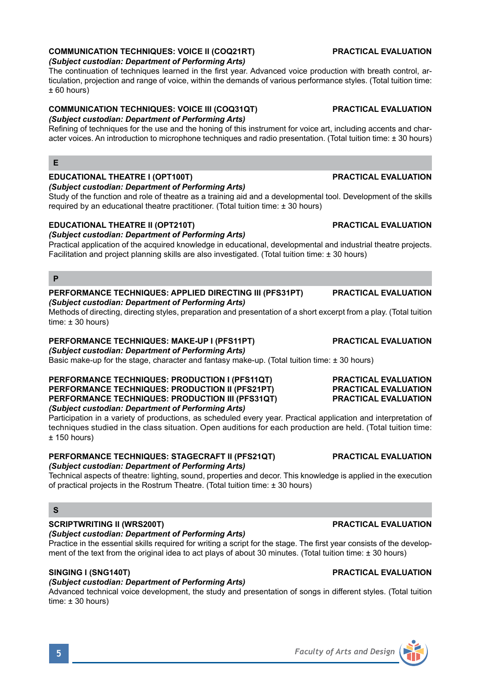## **COMMUNICATION TECHNIQUES: VOICE II (COQ21RT) PRACTICAL EVALUATION**

#### *(Subject custodian: Department of Performing Arts)*

The continuation of techniques learned in the first year. Advanced voice production with breath control, articulation, projection and range of voice, within the demands of various performance styles. (Total tuition time: ± 60 hours)

# **COMMUNICATION TECHNIQUES: VOICE III (COQ31QT) PRACTICAL EVALUATION**

### *(Subject custodian: Department of Performing Arts)*

Refining of techniques for the use and the honing of this instrument for voice art, including accents and character voices. An introduction to microphone techniques and radio presentation. (Total tuition time: ± 30 hours)

## **E**

## **EDUCATIONAL THEATRE I (OPT100T) PRACTICAL EVALUATION**

*(Subject custodian: Department of Performing Arts)*

Study of the function and role of theatre as a training aid and a developmental tool. Development of the skills required by an educational theatre practitioner. (Total tuition time: ± 30 hours)

### **EDUCATIONAL THEATRE II (OPT210T) PRACTICAL EVALUATION**

#### *(Subject custodian: Department of Performing Arts)*

Practical application of the acquired knowledge in educational, developmental and industrial theatre projects. Facilitation and project planning skills are also investigated. (Total tuition time: ± 30 hours)

## **P**

# **PERFORMANCE TECHNIQUES: APPLIED DIRECTING III (PFS31PT) PRACTICAL EVALUATION**

## *(Subject custodian: Department of Performing Arts)*

Methods of directing, directing styles, preparation and presentation of a short excerpt from a play. (Total tuition time:  $\pm$  30 hours)

# **PERFORMANCE TECHNIQUES: MAKE-UP I (PFS11PT) PRACTICAL EVALUATION**

### *(Subject custodian: Department of Performing Arts)*

Basic make-up for the stage, character and fantasy make-up. (Total tuition time: ± 30 hours)

#### **PERFORMANCE TECHNIQUES: PRODUCTION I (PFS11QT) PRACTICAL EVALUATION PERFORMANCE TECHNIQUES: PRODUCTION II (PFS21PT) PRACTICAL EVALUATION PERFORMANCE TECHNIQUES: PRODUCTION III (PFS31QT)** *(Subject custodian: Department of Performing Arts)*

Participation in a variety of productions, as scheduled every year. Practical application and interpretation of techniques studied in the class situation. Open auditions for each production are held. (Total tuition time:  $+ 150$  hours)

#### **PERFORMANCE TECHNIQUES: STAGECRAFT II (PFS21QT) PRACTICAL EVALUATION** *(Subject custodian: Department of Performing Arts)*

Technical aspects of theatre: lighting, sound, properties and decor. This knowledge is applied in the execution of practical projects in the Rostrum Theatre. (Total tuition time: ± 30 hours)

## **S**

# **SCRIPTWRITING II (WRS200T) PRACTICAL EVALUATION**

# *(Subject custodian: Department of Performing Arts)*

Practice in the essential skills required for writing a script for the stage. The first year consists of the development of the text from the original idea to act plays of about 30 minutes. (Total tuition time: ± 30 hours)

## **SINGING I (SNG140T) PRACTICAL EVALUATION**

# *(Subject custodian: Department of Performing Arts)*

Advanced technical voice development, the study and presentation of songs in different styles. (Total tuition time: ± 30 hours)

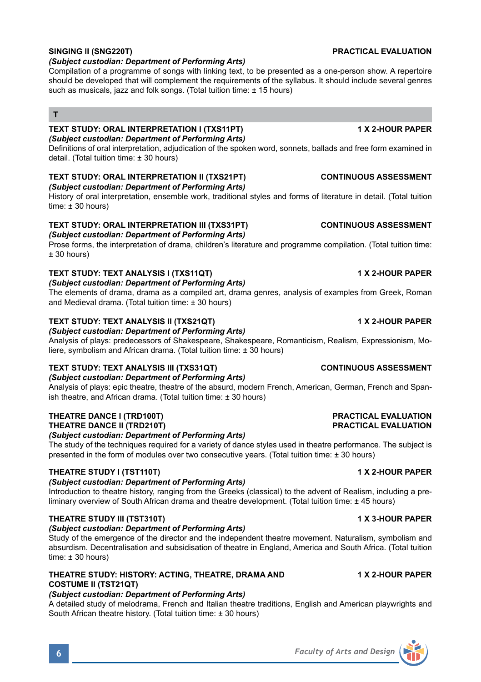#### *(Subject custodian: Department of Performing Arts)*

Compilation of a programme of songs with linking text, to be presented as a one-person show. A repertoire should be developed that will complement the requirements of the syllabus. It should include several genres such as musicals, jazz and folk songs. (Total tuition time: ± 15 hours)

# **T**

#### **TEXT STUDY: ORAL INTERPRETATION I (TXS11PT) 1 X 2-HOUR PAPER** *(Subject custodian: Department of Performing Arts)*

Definitions of oral interpretation, adjudication of the spoken word, sonnets, ballads and free form examined in detail. (Total tuition time: ± 30 hours)

## **TEXT STUDY: ORAL INTERPRETATION II (TXS21PT) CONTINUOUS ASSESSMENT**

*(Subject custodian: Department of Performing Arts)*

History of oral interpretation, ensemble work, traditional styles and forms of literature in detail. (Total tuition time:  $\pm$  30 hours)

#### **TEXT STUDY: ORAL INTERPRETATION III (TXS31PT) CONTINUOUS ASSESSMENT** *(Subject custodian: Department of Performing Arts)*

Prose forms, the interpretation of drama, children's literature and programme compilation. (Total tuition time:  $± 30$  hours)

### **TEXT STUDY: TEXT ANALYSIS I (TXS11QT) 1 X 2-HOUR PAPER**

### *(Subject custodian: Department of Performing Arts)*

The elements of drama, drama as a compiled art, drama genres, analysis of examples from Greek, Roman and Medieval drama. (Total tuition time: ± 30 hours)

### **TEXT STUDY: TEXT ANALYSIS II (TXS21QT) 1 X 2-HOUR PAPER**

*(Subject custodian: Department of Performing Arts)*

Analysis of plays: predecessors of Shakespeare, Shakespeare, Romanticism, Realism, Expressionism, Moliere, symbolism and African drama. (Total tuition time: ± 30 hours)

# **TEXT STUDY: TEXT ANALYSIS III (TXS31QT) CONTINUOUS ASSESSMENT**

*(Subject custodian: Department of Performing Arts)*

Analysis of plays: epic theatre, theatre of the absurd, modern French, American, German, French and Spanish theatre, and African drama. (Total tuition time: ± 30 hours)

#### **THEATRE DANCE I (TRD100T) PRACTICAL EVALUATION THEATRE DANCE II (TRD210T)**

#### *(Subject custodian: Department of Performing Arts)*

The study of the techniques required for a variety of dance styles used in theatre performance. The subject is presented in the form of modules over two consecutive years. (Total tuition time: ± 30 hours)

### **THEATRE STUDY I (TST110T) 1 X 2-HOUR PAPER**

## *(Subject custodian: Department of Performing Arts)*

Introduction to theatre history, ranging from the Greeks (classical) to the advent of Realism, including a preliminary overview of South African drama and theatre development. (Total tuition time: ± 45 hours)

### **THEATRE STUDY III (TST310T) 1 X 3-HOUR PAPER**

### *(Subject custodian: Department of Performing Arts)*

Study of the emergence of the director and the independent theatre movement. Naturalism, symbolism and absurdism. Decentralisation and subsidisation of theatre in England, America and South Africa. (Total tuition time:  $\pm$  30 hours)

### **THEATRE STUDY: HISTORY: ACTING, THEATRE, DRAMA AND 1 X 2-HOUR PAPER COSTUME II (TST21QT)**

### *(Subject custodian: Department of Performing Arts)*

A detailed study of melodrama, French and Italian theatre traditions, English and American playwrights and South African theatre history. (Total tuition time: ± 30 hours)

## **SINGING II (SNG220T) PRACTICAL EVALUATION**